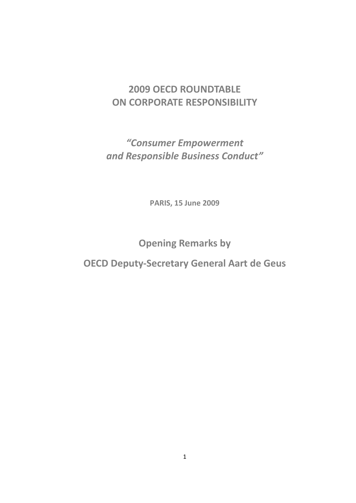## **2009 OECD ROUNDTABLE ON CORPORATE RESPONSIBILITY**

*"Consumer Empowerment and Responsible Business Conduct"*

**PARIS, 15 June 2009**

**Opening Remarks by**

**OECD Deputy-Secretary General Aart de Geus**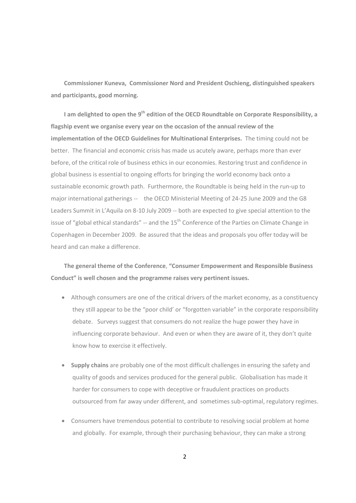**Commissioner Kuneva, Commissioner Nord and President Oschieng, distinguished speakers and participants, good morning.**

**I am delighted to open the 9th edition of the OECD Roundtable on Corporate Responsibility, a flagship event we organise every year on the occasion of the annual review of the implementation of the OECD Guidelines for Multinational Enterprises.** The timing could not be better. The financial and economic crisis has made us acutely aware, perhaps more than ever before, of the critical role of business ethics in our economies. Restoring trust and confidence in global business is essential to ongoing efforts for bringing the world economy back onto a sustainable economic growth path. Furthermore, the Roundtable is being held in the run-up to major international gatherings -- the OECD Ministerial Meeting of 24-25 June 2009 and the G8 Leaders Summit in L'Aquila on 8-10 July 2009 -- both are expected to give special attention to the issue of "global ethical standards" -- and the 15<sup>th</sup> Conference of the Parties on Climate Change in Copenhagen in December 2009. Be assured that the ideas and proposals you offer today will be heard and can make a difference.

**The general theme of the Conference**, **"Consumer Empowerment and Responsible Business Conduct" is well chosen and the programme raises very pertinent issues.** 

- Although consumers are one of the critical drivers of the market economy, as a constituency they still appear to be the "poor child' or "forgotten variable" in the corporate responsibility debate. Surveys suggest that consumers do not realize the huge power they have in influencing corporate behaviour. And even or when they are aware of it, they don't quite know how to exercise it effectively.
- **Supply chains** are probably one of the most difficult challenges in ensuring the safety and quality of goods and services produced for the general public. Globalisation has made it harder for consumers to cope with deceptive or fraudulent practices on products outsourced from far away under different, and sometimes sub-optimal, regulatory regimes.
- Consumers have tremendous potential to contribute to resolving social problem at home and globally. For example, through their purchasing behaviour, they can make a strong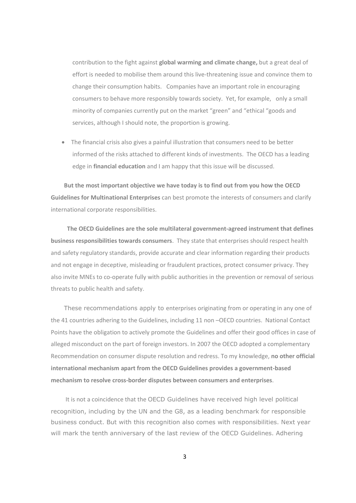contribution to the fight against **global warming and climate change,** but a great deal of effort is needed to mobilise them around this live-threatening issue and convince them to change their consumption habits. Companies have an important role in encouraging consumers to behave more responsibly towards society. Yet, for example, only a small minority of companies currently put on the market "green" and "ethical "goods and services, although I should note, the proportion is growing.

 The financial crisis also gives a painful illustration that consumers need to be better informed of the risks attached to different kinds of investments. The OECD has a leading edge in **financial education** and I am happy that this issue will be discussed.

**But the most important objective we have today is to find out from you how the OECD Guidelines for Multinational Enterprises** can best promote the interests of consumers and clarify international corporate responsibilities.

 **The OECD Guidelines are the sole multilateral government-agreed instrument that defines business responsibilities towards consumers**. They state that enterprises should respect health and safety regulatory standards, provide accurate and clear information regarding their products and not engage in deceptive, misleading or fraudulent practices, protect consumer privacy. They also invite MNEs to co-operate fully with public authorities in the prevention or removal of serious threats to public health and safety.

These recommendations apply to enterprises originating from or operating in any one of the 41 countries adhering to the Guidelines, including 11 non –OECD countries. National Contact Points have the obligation to actively promote the Guidelines and offer their good offices in case of alleged misconduct on the part of foreign investors. In 2007 the OECD adopted a complementary Recommendation on consumer dispute resolution and redress. To my knowledge, **no other official international mechanism apart from the OECD Guidelines provides a government-based mechanism to resolve cross-border disputes between consumers and enterprises**.

It is not a coincidence that the OECD Guidelines have received high level political recognition, including by the UN and the G8, as a leading benchmark for responsible business conduct. But with this recognition also comes with responsibilities. Next year will mark the tenth anniversary of the last review of the OECD Guidelines. Adhering